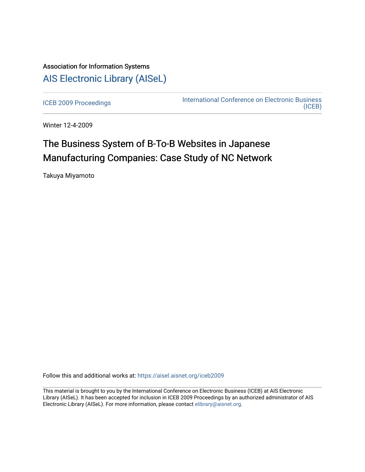## Association for Information Systems [AIS Electronic Library \(AISeL\)](https://aisel.aisnet.org/)

[ICEB 2009 Proceedings](https://aisel.aisnet.org/iceb2009) **International Conference on Electronic Business** [\(ICEB\)](https://aisel.aisnet.org/iceb) 

Winter 12-4-2009

# The Business System of B-To-B Websites in Japanese Manufacturing Companies: Case Study of NC Network

Takuya Miyamoto

Follow this and additional works at: [https://aisel.aisnet.org/iceb2009](https://aisel.aisnet.org/iceb2009?utm_source=aisel.aisnet.org%2Ficeb2009%2F75&utm_medium=PDF&utm_campaign=PDFCoverPages)

This material is brought to you by the International Conference on Electronic Business (ICEB) at AIS Electronic Library (AISeL). It has been accepted for inclusion in ICEB 2009 Proceedings by an authorized administrator of AIS Electronic Library (AISeL). For more information, please contact [elibrary@aisnet.org.](mailto:elibrary@aisnet.org%3E)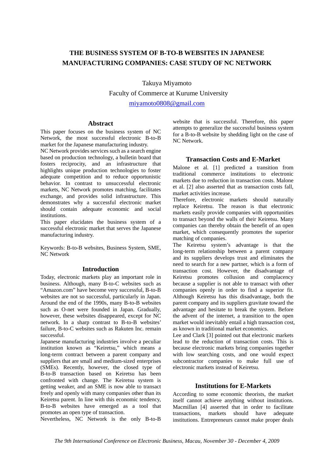### **THE BUSINESS SYSTEM OF B-TO-B WEBSITES IN JAPANESE MANUFACTURING COMPANIES: CASE STUDY OF NC NETWORK**

Takuya Miyamoto Faculty of Commerce at Kurume University miyamoto0808@gmail.com

**Abstract** 

This paper focuses on the business system of NC Network, the most successful electronic B-to-B market for the Japanese manufacturing industry.

NC Network provides services such as a search engine based on production technology, a bulletin board that fosters reciprocity, and an infrastructure that highlights unique production technologies to foster adequate competition and to reduce opportunistic behavior. In contrast to unsuccessful electronic markets, NC Network promotes matching, facilitates exchange, and provides solid infrastructure. This demonstrates why a successful electronic market should contain adequate economic and social institutions.

This paper elucidates the business system of a successful electronic market that serves the Japanese manufacturing industry.

Keywords: B-to-B websites, Business System, SME, NC Network

#### **Introduction**

Today, electronic markets play an important role in business. Although, many B-to-C websites such as "Amazon.com" have become very successful, B-to-B websites are not so successful, particularly in Japan. Around the end of the 1990s, many B-to-B websites such as O-net were founded in Japan. Gradually, however, these websites disappeared, except for NC network. In a sharp contrast to B-to-B websites' failure, B-to-C websites such as Rakuten Inc. remain successful.

Japanese manufacturing industries involve a peculiar institution known as "Keiretsu," which means a long-term contract between a parent company and suppliers that are small and medium-sized enterprises (SMEs). Recently, however, the closed type of B-to-B transaction based on Keiretsu has been confronted with change. The Keiretsu system is getting weaker, and an SME is now able to transact freely and openly with many companies other than its Keiretsu parent. In line with this economic tendency, B-to-B websites have emerged as a tool that promotes an open type of transaction.

Nevertheless, NC Network is the only B-to-B

website that is successful. Therefore, this paper attempts to generalize the successful business system for a B-to-B website by shedding light on the case of NC Network.

#### **Transaction Costs and E-Market**

Malone et al. [1] predicted a transition from traditional commerce institutions to electronic markets due to reduction in transaction costs. Malone et al. [2] also asserted that as transaction costs fall, market activities increase.

Therefore, electronic markets should naturally replace Keiretsu. The reason is that electronic markets easily provide companies with opportunities to transact beyond the walls of their Keiretsu. Many companies can thereby obtain the benefit of an open market, which consequently promotes the superior matching of companies.

The Keiretsu system's advantage is that the long-term relationship between a parent company and its suppliers develops trust and eliminates the need to search for a new partner, which is a form of transaction cost. However, the disadvantage of Keiretsu promotes collusion and complacency because a supplier is not able to transact with other companies openly in order to find a superior fit. Although Keiretsu has this disadvantage, both the parent company and its suppliers gravitate toward the advantage and hesitate to break the system. Before the advent of the internet, a transition to the open market would inevitably entail a high transaction cost, as known in traditional market economics.

Lee and Clark [3] pointed out that electronic markets lead to the reduction of transaction costs. This is because electronic markets bring companies together with low searching costs, and one would expect subcontractor companies to make full use of electronic markets instead of Keiretsu.

#### **Institutions for E-Markets**

According to some economic theorists, the market itself cannot achieve anything without institutions. Macmillan [4] asserted that in order to facilitate transactions, markets should have adequate institutions. Entrepreneurs cannot make proper deals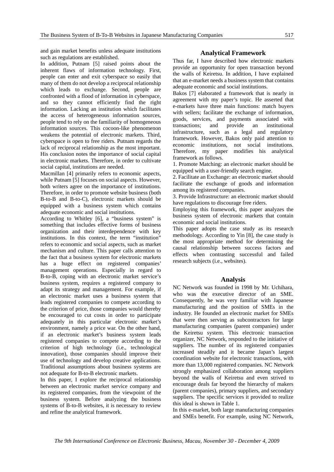and gain market benefits unless adequate institutions such as regulations are established.

In addition, Putnam [5] raised points about the inherent flaws of information technology. First, people can enter and exit cyberspace so easily that many of them do not develop a reciprocal relationship which leads to exchange. Second, people are confronted with a flood of information in cyberspace, and so they cannot efficiently find the right information. Lacking an institution which facilitates the access of heterogeneous information sources, people tend to rely on the familiarity of homogeneous information sources. This cocoon-like phenomenon weakens the potential of electronic markets. Third, cyberspace is open to free riders. Putnam regards the lack of reciprocal relationship as the most important. His conclusion notes the importance of social capital in electronic markets. Therefore, in order to cultivate social capital, institutions are needed.

Macmillan [4] primarily refers to economic aspects, while Putnam [5] focuses on social aspects. However, both writers agree on the importance of institutions. Therefore, in order to promote website business (both B-to-B and B-to-C), electronic markets should be equipped with a business system which contains adequate economic and social institutions.

According to Whitley [6], a "business system" is something that includes effective forms of business organization and their interdependence with key institutions. In this context, the term "institution" refers to economic and social aspects, such as market mechanism and culture. This paper calls attention to the fact that a business system for electronic markets has a huge effect on registered companies' management operations. Especially in regard to B-to-B, coping with an electronic market service's business system, requires a registered company to adapt its strategy and management. For example, if an electronic market uses a business system that leads registered companies to compete according to the criterion of price, those companies would thereby be encouraged to cut costs in order to participate adequately in this particular electronic market's environment, namely a price war. On the other hand, if an electronic market's business system leads registered companies to compete according to the criterion of high technology (i.e., technological innovation), those companies should improve their use of technology and develop creative applications. Traditional assumptions about business systems are not adequate for B-to-B electronic markets.

In this paper, I explore the reciprocal relationship between an electronic market service company and its registered companies, from the viewpoint of the business system. Before analyzing the business systems of B-to-B websites, it is necessary to review and refine the analytical framework.

#### **Analytical Framework**

Thus far, I have described how electronic markets provide an opportunity for open transaction beyond the walls of Keiretsu. In addition, I have explained that an e-market needs a business system that contains adequate economic and social institutions.

Bakos [7] elaborated a framework that is nearly in agreement with my paper's topic. He asserted that e-markets have three main functions: match buyers with sellers; facilitate the exchange of information, goods, services, and payments associated with transactions; and provide an institutional infrastructure, such as a legal and regulatory framework. However, Bakos only paid attention to economic institutions, not social institutions. Therefore, my paper modifies his analytical framework as follows.

1. Promote Matching: an electronic market should be equipped with a user-friendly search engine.

2. Facilitate an Exchange: an electronic market should facilitate the exchange of goods and information among its registered companies.

3. Provide Infrastructure: an electronic market should have regulations to discourage free riders.

Employing this framework, this paper analyzes the business system of electronic markets that contain economic and social institutions.

This paper adopts the case study as its research methodology. According to Yin [8], the case study is the most appropriate method for determining the causal relationship between success factors and effects when contrasting successful and failed research subjects (i.e., websites).

#### **Analysis**

NC Network was founded in 1998 by Mr. Uchihara, who was the executive director of an SME. Consequently, he was very familiar with Japanese manufacturing and the position of SMEs in the industry. He founded an electronic market for SMEs that were then serving as subcontractors for large manufacturing companies (parent companies) under the Keiretsu system. This electronic transaction organizer, NC Network, responded to the initiative of suppliers. The number of its registered companies increased steadily and it became Japan's largest coordination website for electronic transactions, with more than 13,000 registered companies. NC Network strongly emphasized collaboration among suppliers beyond the walls of Keiretsu and even strived to encourage deals far beyond the hierarchy of makers (parent companies), primary suppliers, and secondary suppliers. The specific services it provided to realize this ideal is shown in Table 1.

In this e-market, both large manufacturing companies and SMEs benefit. For example, using NC Network,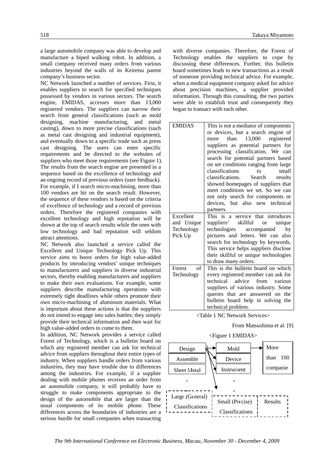a large automobile company was able to develop and manufacture a biped walking robot. In addition, a small company received many orders from various industries beyond the walls of its Keiretsu parent company's business sector.

NC Network launched a number of services. First, it enables suppliers to search for specified techniques possessed by vendors in various sectors. The search engine, EMIDAS, accesses more than 13,000 registered vendors. The suppliers can narrow their search from general classifications (such as mold designing, machine manufacturing, and metal casting), down to more precise classifications (such as metal cast designing and industrial equipment), and eventually down to a specific trade such as press cast designing. The users can enter specific requirements and be directed to the websites of suppliers who meet those requirements (see Figure 1). The results from the search engine are presented in a sequence based on the excellence of technology and an ongoing record of previous orders (user feedback). For example, if I search micro-machining, more than 100 vendors are hit on the search result. However, the sequence of these vendors is based on the criteria of excellence of technology and a record of previous orders. Therefore the registered companies with excellent technology and high reputation will be shown at the top of search results while the ones with low technology and bad reputation will seldom attract attentions.

NC Network also launched a service called the Excellent and Unique Technology Pick Up. This service aims to boost orders for high value-added products by introducing vendors' unique techniques to manufacturers and suppliers in diverse industrial sectors, thereby enabling manufacturers and suppliers to make their own evaluations. For example, some suppliers describe manufacturing operations with extremely tight deadlines while others promote their own micro-machining of aluminum materials. What is important about these actions is that the suppliers do not intend to engage into sales battles; they simply provide their technical information and then wait for high value-added orders to come to them.

In addition, NC Network provides a service called Forest of Technology, which is a bulletin board on which any registered member can ask for technical advice from suppliers throughout their entire types of industry. When suppliers handle orders from various industries, they may have trouble due to differences among the industries. For example, if a supplier dealing with mobile phones receives an order from an automobile company, it will probably have to struggle to make components appropriate to the design of the automobile that are larger than the usual components of its mobile phone. These differences across the boundaries of industries are a serious hurdle for small companies when transacting

with diverse companies. Therefore, the Forest of Technology enables the suppliers to cope by discussing these differences. Further, this bulletin board sometimes leads to new transactions as a result of someone providing technical advice. For example, when a medical equipment company asked for advice about precision machines, a supplier provided information. Through this consulting, the two parties were able to establish trust and consequently they began to transact with each other.

| <b>EMIDAS</b> | This is not a mediator of components                 |
|---------------|------------------------------------------------------|
|               | or devices, but a search engine of                   |
|               | 13,000 registered<br>more than                       |
|               | suppliers as potential partners for                  |
|               | processing classification. We can                    |
|               | search for potential partners based                  |
|               | on set conditions ranging from large                 |
|               | <i>classifications</i><br>small<br>$\overline{a}$ to |
|               | classifications. Search<br>results                   |
|               | showed homepages of suppliers that                   |
|               | meet conditions we set. So we can                    |
|               | not only search for components or                    |
|               | devices, but also new technical                      |
|               | partners.                                            |
| Excellent     | This is a service that introduces                    |
| and Unique    | suppliers' skillful or<br>unique                     |
| Technology    | technologies accompanied<br>by                       |
| Pick Up       | pictures and letters. We can also                    |
|               | search for technology by keywords.                   |
|               | This service helps suppliers disclose                |
|               | their skillful or unique technologies                |
|               | to draw many orders.                                 |
| Forest of     | This is the bulletin board on which                  |
| Technology    | every registered member can ask for                  |
|               | technical advice from various                        |
|               | suppliers of various industry. Some                  |
|               | queries that are answered on the                     |
|               | bulletin board help in solving the                   |
|               | technical problem.                                   |

<Table 1 NC Network Services>

#### From Matsushima et al. [9]

#### <Figure 1 EMIDAS>

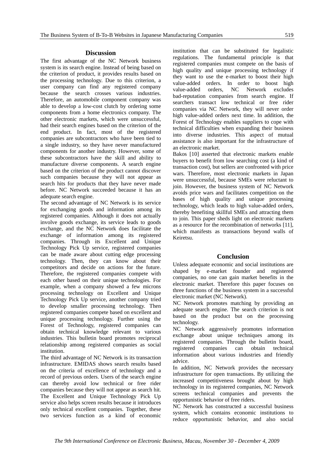#### **Discussion**

The first advantage of the NC Network business system is its search engine. Instead of being based on the criterion of product, it provides results based on the processing technology. Due to this criterion, a user company can find any registered company because the search crosses various industries. Therefore, an automobile component company was able to develop a low-cost clutch by ordering some components from a home electronics company. The other electronic markets, which were unsuccessful, had their search engines based on the criterion of the end product. In fact, most of the registered companies are subcontractors who have been tied to a single industry, so they have never manufactured components for another industry. However, some of these subcontractors have the skill and ability to manufacture diverse components. A search engine based on the criterion of the product cannot discover such companies because they will not appear as search hits for products that they have never made before. NC Network succeeded because it has an adequate search engine.

The second advantage of NC Network is its service for exchanging goods and information among its registered companies. Although it does not actually involve goods exchange, its service leads to goods exchange, and the NC Network does facilitate the exchange of information among its registered companies. Through its Excellent and Unique Technology Pick Up service, registered companies can be made aware about cutting edge processing technology. Then, they can know about their competitors and decide on actions for the future. Therefore, the registered companies compete with each other based on their unique technologies. For example, when a company showed a few microns processing technology on Excellent and Unique Technology Pick Up service, another company tried to develop smaller processing technology. Then registered companies compete based on excellent and unique processing technology. Further using the Forest of Technology, registered companies can obtain technical knowledge relevant to various industries. This bulletin board promotes reciprocal relationship among registered companies as social institution.

The third advantage of NC Network is its transaction infrastructure. EMIDAS shows search results based on the criteria of excellence of technology and a record of previous orders. Users of the search engine can thereby avoid low technical or free rider companies because they will not appear as search hit. The Excellent and Unique Technology Pick Up service also helps screen results because it introduces only technical excellent companies. Together, these two services function as a kind of economic

institution that can be substituted for legalistic regulations. The fundamental principle is that registered companies must compete on the basis of high quality and unique processing technology if they want to use the e-market to boost their high value-added orders. In order to boost high value-added orders, NC Network excludes bad-reputation companies from search engine. If searchers transact low technical or free rider companies via NC Network, they will never order high value-added orders next time. In addition, the Forest of Technology enables suppliers to cope with technical difficulties when expanding their business into diverse industries. This aspect of mutual assistance is also important for the infrastructure of an electronic market.

Bakos [10] asserted that electronic markets enable buyers to benefit from low searching cost (a kind of transaction cost), but sellers are confronted with price wars. Therefore, most electronic markets in Japan were unsuccessful, because SMEs were reluctant to join. However, the business system of NC Network avoids price wars and facilitates competition on the bases of high quality and unique processing technology, which leads to high value-added orders, thereby benefiting skillful SMEs and attracting them to join. This paper sheds light on electronic markets as a resource for the recombination of networks [11], which manifests as transactions beyond walls of Keiretsu.

#### **Conclusion**

Unless adequate economic and social institutions are shaped by e-market founder and registered companies, no one can gain market benefits in the electronic market. Therefore this paper focuses on three functions of the business system in a successful electronic market (NC Network).

NC Network promotes matching by providing an adequate search engine. The search criterion is not based on the product but on the processing technology.

NC Network aggressively promotes information exchange about unique techniques among its registered companies. Through the bulletin board, registered companies can obtain technical information about various industries and friendly advice.

In addition, NC Network provides the necessary infrastructure for open transactions. By utilizing the increased competitiveness brought about by high technology in its registered companies, NC Network screens technical companies and prevents the opportunistic behavior of free riders.

NC Network has constructed a successful business system, which contains economic institutions to reduce opportunistic behavior, and also social